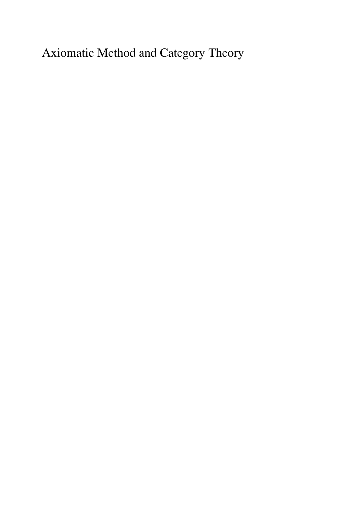Axiomatic Method and Category Theory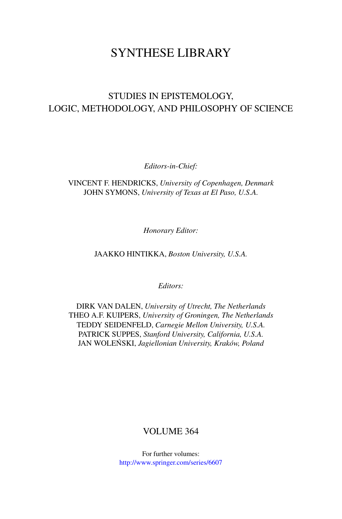### SYNTHESE LIBRARY

### STUDIES IN EPISTEMOLOGY, LOGIC, METHODOLOGY, AND PHILOSOPHY OF SCIENCE

*Editors-in-Chief:*

VINCENT F. HENDRICKS, *University of Copenhagen, Denmark* JOHN SYMONS, *University of Texas at El Paso, U.S.A.*

*Honorary Editor:*

JAAKKO HINTIKKA, *Boston University, U.S.A.*

*Editors:*

DIRK VAN DALEN, *University of Utrecht, The Netherlands* THEO A.F. KUIPERS, *University of Groningen, The Netherlands* TEDDY SEIDENFELD, *Carnegie Mellon University, U.S.A.* PATRICK SUPPES, *Stanford University, California, U.S.A.* JAN WOLEŃSKI, Jagiellonian University, Kraków, Poland

#### VOLUME 364

For further volumes: <http://www.springer.com/series/6607>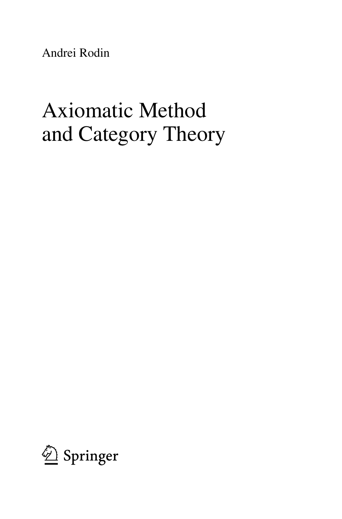Andrei Rodin

# Axiomatic Method and Category Theory

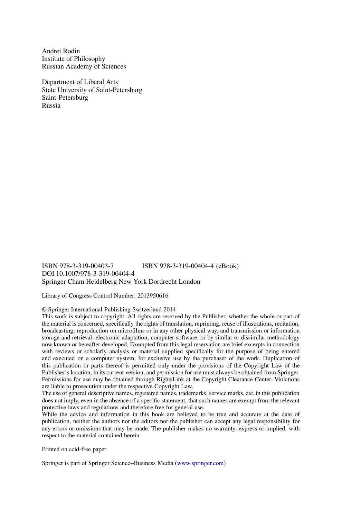Andrei Rodin Institute of Philosophy Russian Academy of Sciences

Department of Liberal Arts State University of Saint-Petersburg Saint-Petersburg Russia

ISBN 978-3-319-00403-7 ISBN 978-3-319-00404-4 (eBook) DOI 10.1007/978-3-319-00404-4 Springer Cham Heidelberg New York Dordrecht London

Library of Congress Control Number: 2013950616

#### © Springer International Publishing Switzerland 2014

This work is subject to copyright. All rights are reserved by the Publisher, whether the whole or part of the material is concerned, specifically the rights of translation, reprinting, reuse of illustrations, recitation, broadcasting, reproduction on microfilms or in any other physical way, and transmission or information storage and retrieval, electronic adaptation, computer software, or by similar or dissimilar methodology now known or hereafter developed. Exempted from this legal reservation are brief excerpts in connection with reviews or scholarly analysis or material supplied specifically for the purpose of being entered and executed on a computer system, for exclusive use by the purchaser of the work. Duplication of this publication or parts thereof is permitted only under the provisions of the Copyright Law of the Publisher's location, in its current version, and permission for use must always be obtained from Springer. Permissions for use may be obtained through RightsLink at the Copyright Clearance Center. Violations are liable to prosecution under the respective Copyright Law.

The use of general descriptive names, registered names, trademarks, service marks, etc. in this publication does not imply, even in the absence of a specific statement, that such names are exempt from the relevant protective laws and regulations and therefore free for general use.

While the advice and information in this book are believed to be true and accurate at the date of publication, neither the authors nor the editors nor the publisher can accept any legal responsibility for any errors or omissions that may be made. The publisher makes no warranty, express or implied, with respect to the material contained herein.

Printed on acid-free paper

Springer is part of Springer Science+Business Media [\(www.springer.com\)](www.springer.com)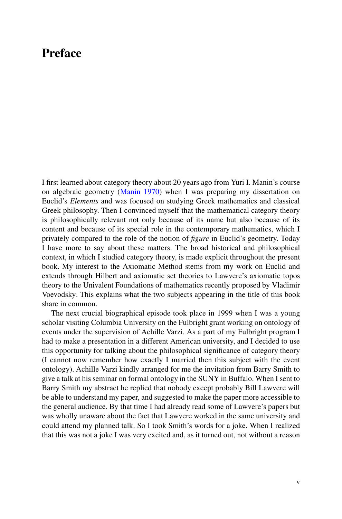### **Preface**

I first learned about category theory about 20 years ago from Yuri I. Manin's course on algebraic geometry (Manin 1970) when I was preparing my dissertation on Euclid's *Elements* and was focused on studying Greek mathematics and classical Greek philosophy. Then I convinced myself that the mathematical category theory is philosophically relevant not only because of its name but also because of its content and because of its special role in the contemporary mathematics, which I privately compared to the role of the notion of *figure* in Euclid's geometry. Today I have more to say about these matters. The broad historical and philosophical context, in which I studied category theory, is made explicit throughout the present book. My interest to the Axiomatic Method stems from my work on Euclid and extends through Hilbert and axiomatic set theories to Lawvere's axiomatic topos theory to the Univalent Foundations of mathematics recently proposed by Vladimir Voevodsky. This explains what the two subjects appearing in the title of this book share in common.

The next crucial biographical episode took place in 1999 when I was a young scholar visiting Columbia University on the Fulbright grant working on ontology of events under the supervision of Achille Varzi. As a part of my Fulbright program I had to make a presentation in a different American university, and I decided to use this opportunity for talking about the philosophical significance of category theory (I cannot now remember how exactly I married then this subject with the event ontology). Achille Varzi kindly arranged for me the invitation from Barry Smith to give a talk at his seminar on formal ontology in the SUNY in Buffalo. When I sent to Barry Smith my abstract he replied that nobody except probably Bill Lawvere will be able to understand my paper, and suggested to make the paper more accessible to the general audience. By that time I had already read some of Lawvere's papers but was wholly unaware about the fact that Lawvere worked in the same university and could attend my planned talk. So I took Smith's words for a joke. When I realized that this was not a joke I was very excited and, as it turned out, not without a reason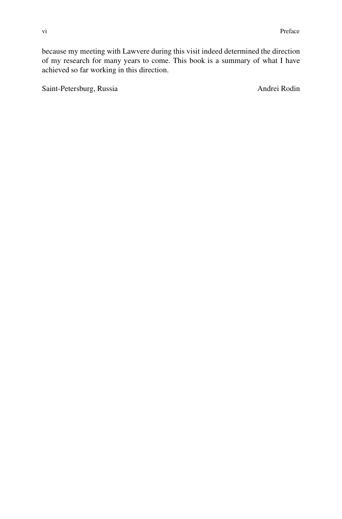because my meeting with Lawvere during this visit indeed determined the direction of my research for many years to come. This book is a summary of what I have achieved so far working in this direction.

Saint-Petersburg, Russia Andrei Rodin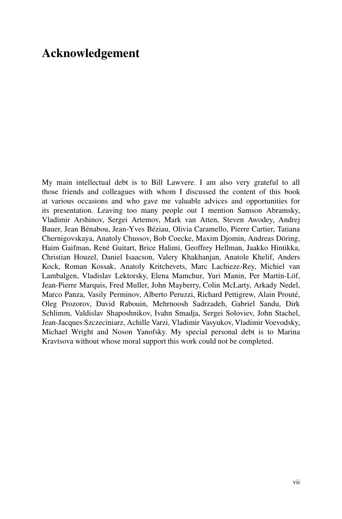### **Acknowledgement**

My main intellectual debt is to Bill Lawvere. I am also very grateful to all those friends and colleagues with whom I discussed the content of this book at various occasions and who gave me valuable advices and opportunities for its presentation. Leaving too many people out I mention Samson Abramsky, Vladimir Arshinov, Sergei Artemov, Mark van Atten, Steven Awodey, Andrej Bauer, Jean Bénabou, Jean-Yves Béziau, Olivia Caramello, Pierre Cartier, Tatiana Chernigovskaya, Anatoly Chussov, Bob Coecke, Maxim Djomin, Andreas Doring, ¨ Haim Gaifman, René Guitart, Brice Halimi, Geoffrey Hellman, Jaakko Hintikka, Christian Houzel, Daniel Isaacson, Valery Khakhanjan, Anatole Khelif, Anders Kock, Roman Kossak, Anatoly Kritchevets, Marc Lachieze-Rey, Michiel van Lambalgen, Vladislav Lektorsky, Elena Mamchur, Yuri Manin, Per Martin-Löf, Jean-Pierre Marquis, Fred Muller, John Mayberry, Colin McLarty, Arkady Nedel, Marco Panza, Vasily Perminov, Alberto Peruzzi, Richard Pettigrew, Alain Proute,´ Oleg Prozorov, David Rabouin, Mehrnoosh Sadrzadeh, Gabriel Sandu, Dirk Schlimm, Valdislav Shaposhnikov, Ivahn Smadja, Sergei Soloviev, John Stachel, Jean-Jacques Szczeciniarz, Achille Varzi, Vladimir Vasyukov, Vladimir Voevodsky, Michael Wright and Noson Yanofsky. My special personal debt is to Marina Kravtsova without whose moral support this work could not be completed.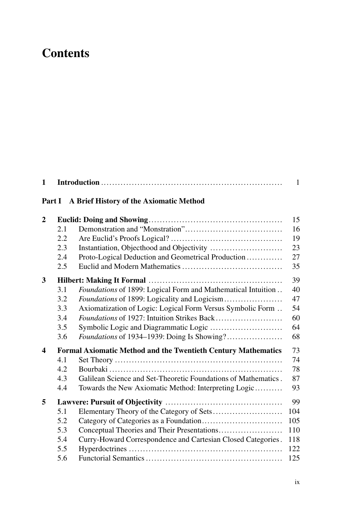## **Contents**

| 1                       |     |                                                                | $\mathbf{1}$ |
|-------------------------|-----|----------------------------------------------------------------|--------------|
| Part I                  |     | A Brief History of the Axiomatic Method                        |              |
| $\mathbf{2}$            |     |                                                                | 15           |
|                         | 2.1 |                                                                | 16           |
|                         | 2.2 |                                                                | 19           |
|                         | 2.3 |                                                                | 23           |
|                         | 2.4 | Proto-Logical Deduction and Geometrical Production             | 27           |
|                         | 2.5 |                                                                | 35           |
| 3                       |     |                                                                | 39           |
|                         | 3.1 | Foundations of 1899: Logical Form and Mathematical Intuition   | 40           |
|                         | 3.2 |                                                                | 47           |
|                         | 3.3 | Axiomatization of Logic: Logical Form Versus Symbolic Form     | 54           |
|                         | 3.4 | Foundations of 1927: Intuition Strikes Back                    | 60           |
|                         | 3.5 |                                                                | 64           |
|                         | 3.6 | Foundations of 1934–1939: Doing Is Showing?                    | 68           |
| $\overline{\mathbf{4}}$ |     | Formal Axiomatic Method and the Twentieth Century Mathematics  | 73           |
|                         | 4.1 |                                                                | 74           |
|                         | 4.2 |                                                                | 78           |
|                         | 4.3 | Galilean Science and Set-Theoretic Foundations of Mathematics. | 87           |
|                         | 4.4 | Towards the New Axiomatic Method: Interpreting Logic           | 93           |
| 5                       |     |                                                                |              |
|                         | 5.1 |                                                                | 104          |
|                         | 5.2 |                                                                | 105          |
|                         | 5.3 |                                                                | 110          |
|                         | 5.4 | Curry-Howard Correspondence and Cartesian Closed Categories.   | 118          |
|                         | 5.5 |                                                                | 122          |
|                         | 5.6 |                                                                | 125          |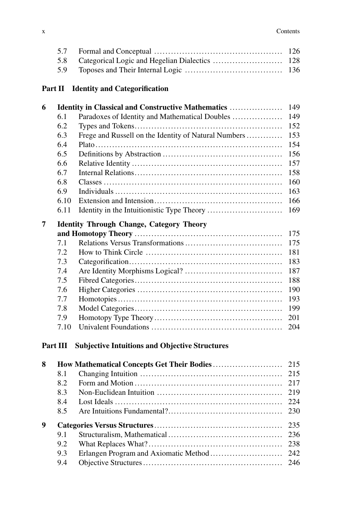### **Part II Identity and Categorification**

| 6        |      | Identity in Classical and Constructive Mathematics    | 149 |
|----------|------|-------------------------------------------------------|-----|
|          | 6.1  | Paradoxes of Identity and Mathematical Doubles        | 149 |
|          | 6.2  |                                                       | 152 |
|          | 6.3  | Frege and Russell on the Identity of Natural Numbers  | 153 |
|          | 6.4  |                                                       | 154 |
|          | 6.5  |                                                       | 156 |
|          | 6.6  |                                                       | 157 |
|          | 6.7  |                                                       | 158 |
|          | 6.8  |                                                       | 160 |
|          | 6.9  |                                                       | 163 |
|          | 6.10 |                                                       | 166 |
|          | 6.11 |                                                       | 169 |
| 7        |      | <b>Identity Through Change, Category Theory</b>       |     |
|          |      |                                                       | 175 |
|          | 7.1  |                                                       | 175 |
|          | 7.2  |                                                       | 181 |
|          | 7.3  |                                                       | 183 |
|          | 7.4  |                                                       | 187 |
|          | 7.5  |                                                       | 188 |
|          | 7.6  |                                                       | 190 |
|          | 7.7  |                                                       | 193 |
|          | 7.8  |                                                       | 199 |
|          | 7.9  |                                                       | 201 |
|          | 7.10 |                                                       | 204 |
| Part III |      | <b>Subjective Intuitions and Objective Structures</b> |     |
| 8        |      |                                                       | 215 |
|          | 8.1  |                                                       | 215 |
|          | 8.2  |                                                       | 217 |
|          | 8.3  |                                                       | 219 |
|          | 8.4  |                                                       | 224 |
|          | 8.5  |                                                       | 230 |
| 9        |      | <b>Categories Versus Structures</b>                   | 235 |